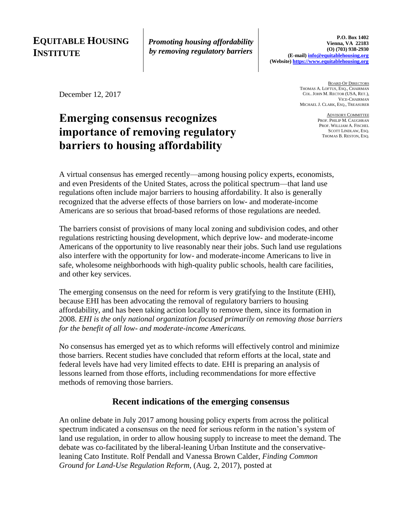## **EQUITABLE HOUSING INSTITUTE**

*Promoting housing affordability by removing regulatory barriers*

December 12, 2017

# **Emerging consensus recognizes importance of removing regulatory barriers to housing affordability**

BOARD OF DIRECTORS THOMAS A. LOFTUS, ESQ., CHAIRMAN COL. JOHN M. RECTOR (USA, RET.), VICE-CHAIRMAN MICHAEL J. CLARK, ESQ., TREASURER

> ADVISORY COMMITTEE PROF. PHILIP M. CAUGHRAN PROF. WILLIAM A. FISCHEL SCOTT LINDLAW, ESQ. THOMAS B. RESTON, ESQ.

A virtual consensus has emerged recently—among housing policy experts, economists, and even Presidents of the United States, across the political spectrum—that land use regulations often include major barriers to housing affordability. It also is generally recognized that the adverse effects of those barriers on low- and moderate-income Americans are so serious that broad-based reforms of those regulations are needed.

The barriers consist of provisions of many local zoning and subdivision codes, and other regulations restricting housing development, which deprive low- and moderate-income Americans of the opportunity to live reasonably near their jobs. Such land use regulations also interfere with the opportunity for low- and moderate-income Americans to live in safe, wholesome neighborhoods with high-quality public schools, health care facilities, and other key services.

The emerging consensus on the need for reform is very gratifying to the Institute (EHI), because EHI has been advocating the removal of regulatory barriers to housing affordability, and has been taking action locally to remove them, since its formation in 2008. *EHI is the only national organization focused primarily on removing those barriers for the benefit of all low- and moderate-income Americans.* 

No consensus has emerged yet as to which reforms will effectively control and minimize those barriers. Recent studies have concluded that reform efforts at the local, state and federal levels have had very limited effects to date. EHI is preparing an analysis of lessons learned from those efforts, including recommendations for more effective methods of removing those barriers.

### **Recent indications of the emerging consensus**

An online debate in July 2017 among housing policy experts from across the political spectrum indicated a consensus on the need for serious reform in the nation's system of land use regulation, in order to allow housing supply to increase to meet the demand. The debate was co-facilitated by the liberal-leaning Urban Institute and the conservativeleaning Cato Institute. Rolf Pendall and Vanessa Brown Calder, *Finding Common Ground for Land-Use Regulation Reform*, (Aug. 2, 2017), posted at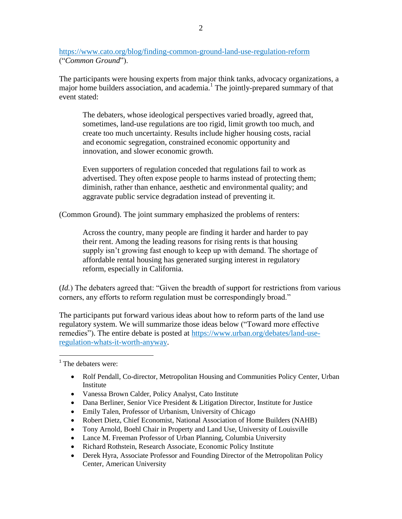<https://www.cato.org/blog/finding-common-ground-land-use-regulation-reform> ("*Common Ground*").

The participants were housing experts from major think tanks, advocacy organizations, a major home builders association, and academia.<sup>1</sup> The jointly-prepared summary of that event stated:

The debaters, whose ideological perspectives varied broadly, agreed that, sometimes, land-use regulations are too rigid, limit growth too much, and create too much uncertainty. Results include higher housing costs, racial and economic segregation, constrained economic opportunity and innovation, and slower economic growth.

Even supporters of regulation conceded that regulations fail to work as advertised. They often expose people to harms instead of protecting them; diminish, rather than enhance, aesthetic and environmental quality; and aggravate public service degradation instead of preventing it.

(Common Ground). The joint summary emphasized the problems of renters:

Across the country, many people are finding it harder and harder to pay their rent. Among the leading reasons for rising rents is that housing supply isn't growing fast enough to keep up with demand. The shortage of affordable rental housing has generated surging interest in regulatory reform, especially in California.

(*Id.*) The debaters agreed that: "Given the breadth of support for restrictions from various corners, any efforts to reform regulation must be correspondingly broad."

The participants put forward various ideas about how to reform parts of the land use regulatory system. We will summarize those ideas below ("Toward more effective remedies"). The entire debate is posted at [https://www.urban.org/debates/land-use](https://www.urban.org/debates/land-use-regulation-whats-it-worth-anyway)[regulation-whats-it-worth-anyway.](https://www.urban.org/debates/land-use-regulation-whats-it-worth-anyway)

 $\overline{a}$ 

- Rolf Pendall, Co-director, Metropolitan Housing and Communities Policy Center, Urban Institute
- Vanessa Brown Calder, Policy Analyst, Cato Institute
- Dana Berliner, Senior Vice President & Litigation Director, Institute for Justice
- Emily Talen, Professor of Urbanism, University of Chicago
- Robert Dietz, Chief Economist, National Association of Home Builders (NAHB)
- Tony Arnold, Boehl Chair in Property and Land Use, University of Louisville
- Lance M. Freeman Professor of Urban Planning, Columbia University
- Richard Rothstein, Research Associate, Economic Policy Institute
- Derek Hyra, Associate Professor and Founding Director of the Metropolitan Policy Center, American University

 $1$ <sup>1</sup> The debaters were: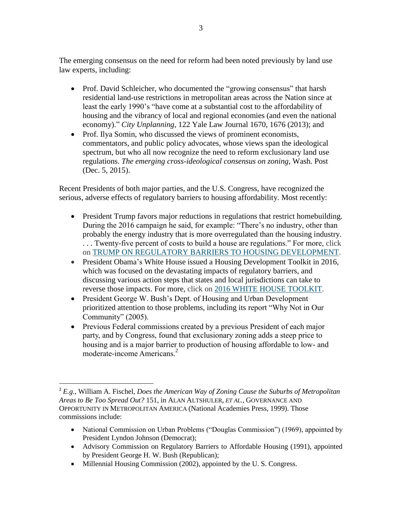The emerging consensus on the need for reform had been noted previously by land use law experts, including:

- Prof. David Schleicher, who documented the "growing consensus" that harsh residential land-use restrictions in metropolitan areas across the Nation since at least the early 1990's "have come at a substantial cost to the affordability of housing and the vibrancy of local and regional economies (and even the national economy)." *City Unplanning*, 122 Yale Law Journal 1670, 1676 (2013); and
- Prof. Ilya Somin, who discussed the views of prominent economists, commentators, and public policy advocates, whose views span the ideological spectrum, but who all now recognize the need to reform exclusionary land use regulations. *The emerging cross-ideological consensus on zoning,* Wash. Post (Dec. 5, 2015).

Recent Presidents of both major parties, and the U.S. Congress, have recognized the serious, adverse effects of regulatory barriers to housing affordability. Most recently:

- President Trump favors major reductions in regulations that restrict homebuilding. During the 2016 campaign he said, for example: "There's no industry, other than probably the energy industry that is more overregulated than the housing industry. . . . Twenty-five percent of costs to build a house are regulations." For more, click on [TRUMP ON REGULATORY BARRIERS TO HOUSING DEVELOPMENT.](http://www.equitablehousing.org/images/PDFs/TRUMP_HOUSING_POLICIES.EHI_memo.FINAL-website.pdf)
- President Obama's White House issued a Housing Development Toolkit in 2016, which was focused on the devastating impacts of regulatory barriers, and discussing various action steps that states and local jurisdictions can take to reverse those impacts. For more, click on [2016 WHITE HOUSE TOOLKIT.](http://www.equitablehousing.org/42-organization/173-2016-white-house-toolkit.html)
- President George W. Bush's Dept. of Housing and Urban Development prioritized attention to those problems, including its report "Why Not in Our Community" (2005).
- Previous Federal commissions created by a previous President of each major party, and by Congress, found that exclusionary zoning adds a steep price to housing and is a major barrier to production of housing affordable to low- and moderate-income Americans.<sup>2</sup>

- National Commission on Urban Problems ("Douglas Commission") (1969), appointed by President Lyndon Johnson (Democrat);
- Advisory Commission on Regulatory Barriers to Affordable Housing (1991), appointed by President George H. W. Bush (Republican);
- Millennial Housing Commission (2002), appointed by the U.S. Congress.

 $\overline{a}$ 

<sup>2</sup> *E.g.*, William A. Fischel, *Does the American Way of Zoning Cause the Suburbs of Metropolitan Areas to Be Too Spread Out?* 151, in ALAN ALTSHULER, *ET AL.*, GOVERNANCE AND OPPORTUNITY IN METROPOLITAN AMERICA (National Academies Press, 1999). Those commissions include: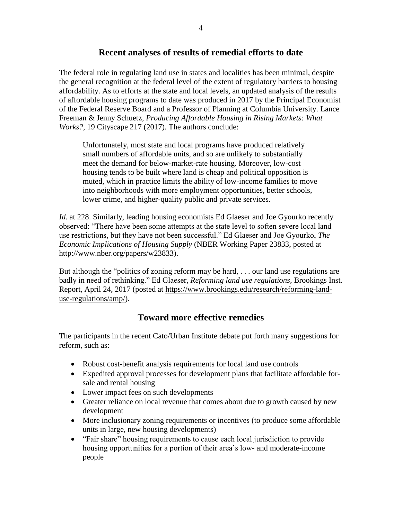#### **Recent analyses of results of remedial efforts to date**

The federal role in regulating land use in states and localities has been minimal, despite the general recognition at the federal level of the extent of regulatory barriers to housing affordability. As to efforts at the state and local levels, an updated analysis of the results of affordable housing programs to date was produced in 2017 by the Principal Economist of the Federal Reserve Board and a Professor of Planning at Columbia University. Lance Freeman & Jenny Schuetz, *Producing Affordable Housing in Rising Markets: What Works?*, 19 Cityscape 217 (2017). The authors conclude:

Unfortunately, most state and local programs have produced relatively small numbers of affordable units, and so are unlikely to substantially meet the demand for below-market-rate housing. Moreover, low-cost housing tends to be built where land is cheap and political opposition is muted, which in practice limits the ability of low-income families to move into neighborhoods with more employment opportunities, better schools, lower crime, and higher-quality public and private services.

*Id.* at 228. Similarly, leading housing economists Ed Glaeser and Joe Gyourko recently observed: "There have been some attempts at the state level to soften severe local land use restrictions, but they have not been successful." Ed Glaeser and Joe Gyourko, *The Economic Implications of Housing Supply* (NBER Working Paper 23833, posted at [http://www.nber.org/papers/w23833\)](http://www.nber.org/papers/w23833).

But although the "politics of zoning reform may be hard, . . . our land use regulations are badly in need of rethinking." Ed Glaeser, *Reforming land use regulations,* Brookings Inst. Report, April 24, 2017 (posted at [https://www.brookings.edu/research/reforming-land](https://www.brookings.edu/research/reforming-land-use-regulations/amp/)[use-regulations/amp/\)](https://www.brookings.edu/research/reforming-land-use-regulations/amp/).

### **Toward more effective remedies**

The participants in the recent Cato/Urban Institute debate put forth many suggestions for reform, such as:

- Robust cost-benefit analysis requirements for local land use controls
- Expedited approval processes for development plans that facilitate affordable forsale and rental housing
- Lower impact fees on such developments
- Greater reliance on local revenue that comes about due to growth caused by new development
- More inclusionary zoning requirements or incentives (to produce some affordable units in large, new housing developments)
- "Fair share" housing requirements to cause each local jurisdiction to provide housing opportunities for a portion of their area's low- and moderate-income people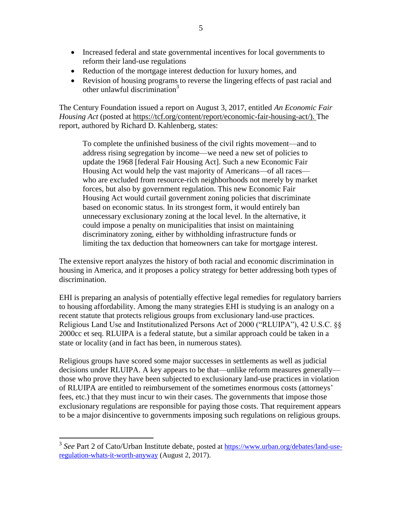- Increased federal and state governmental incentives for local governments to reform their land-use regulations
- Reduction of the mortgage interest deduction for luxury homes, and
- Revision of housing programs to reverse the lingering effects of past racial and other unlawful discrimination<sup>3</sup>

The Century Foundation issued a report on August 3, 2017, entitled *An Economic Fair Housing Act* (posted at [https://tcf.org/content/report/economic-fair-housing-act/\)](https://tcf.org/content/report/economic-fair-housing-act/). The report, authored by Richard D. Kahlenberg, states:

To complete the unfinished business of the civil rights movement—and to address rising segregation by income—we need a new set of policies to update the 1968 [federal Fair Housing Act]. Such a new Economic Fair Housing Act would help the vast majority of Americans—of all races who are excluded from resource-rich neighborhoods not merely by market forces, but also by government regulation. This new Economic Fair Housing Act would curtail government zoning policies that discriminate based on economic status. In its strongest form, it would entirely ban unnecessary exclusionary zoning at the local level. In the alternative, it could impose a penalty on municipalities that insist on maintaining discriminatory zoning, either by withholding infrastructure funds or limiting the tax deduction that homeowners can take for mortgage interest.

The extensive report analyzes the history of both racial and economic discrimination in housing in America, and it proposes a policy strategy for better addressing both types of discrimination.

EHI is preparing an analysis of potentially effective legal remedies for regulatory barriers to housing affordability. Among the many strategies EHI is studying is an analogy on a recent statute that protects religious groups from exclusionary land-use practices. Religious Land Use and Institutionalized Persons Act of 2000 ("RLUIPA"), 42 U.S.C. §§ 2000cc et seq. RLUIPA is a federal statute, but a similar approach could be taken in a state or locality (and in fact has been, in numerous states).

Religious groups have scored some major successes in settlements as well as judicial decisions under RLUIPA. A key appears to be that—unlike reform measures generally those who prove they have been subjected to exclusionary land-use practices in violation of RLUIPA are entitled to reimbursement of the sometimes enormous costs (attorneys' fees, etc.) that they must incur to win their cases. The governments that impose those exclusionary regulations are responsible for paying those costs. That requirement appears to be a major disincentive to governments imposing such regulations on religious groups.

<sup>&</sup>lt;sup>3</sup> See Part 2 of Cato/Urban Institute debate, posted at **https://www.urban.org/debates/land-use**[regulation-whats-it-worth-anyway](https://www.urban.org/debates/land-use-regulation-whats-it-worth-anyway) (August 2, 2017).